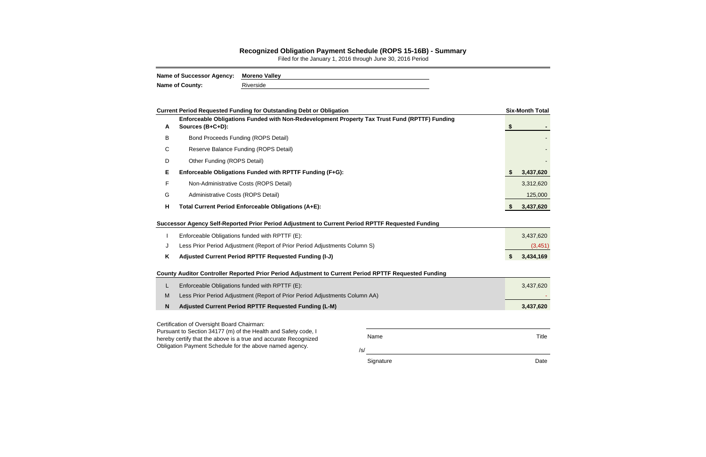Name Title

/s/

Signature Date Date Date

Title

## **Recognized Obligation Payment Schedule (ROPS 15-16B) - Summary**

Filed for the January 1, 2016 through June 30, 2016 Period

| Name of Successor Agency: Moreno Valley |           |
|-----------------------------------------|-----------|
| <b>Name of County:</b>                  | Riverside |

|   | <b>Current Period Requested Funding for Outstanding Debt or Obligation</b>                                        | <b>Six-Month Total</b> |
|---|-------------------------------------------------------------------------------------------------------------------|------------------------|
| A | Enforceable Obligations Funded with Non-Redevelopment Property Tax Trust Fund (RPTTF) Funding<br>Sources (B+C+D): | \$                     |
| B | <b>Bond Proceeds Funding (ROPS Detail)</b>                                                                        |                        |
| С | Reserve Balance Funding (ROPS Detail)                                                                             |                        |
| D | Other Funding (ROPS Detail)                                                                                       |                        |
| Е | Enforceable Obligations Funded with RPTTF Funding (F+G):                                                          | 3,437,620              |
| F | Non-Administrative Costs (ROPS Detail)                                                                            | 3,312,620              |
| G | Administrative Costs (ROPS Detail)                                                                                | 125,000                |
| H | Total Current Period Enforceable Obligations (A+E):                                                               | \$<br>3,437,620        |
|   | Successor Agency Self-Reported Prior Period Adjustment to Current Period RPTTF Requested Funding                  |                        |
|   | Enforceable Obligations funded with RPTTF (E):                                                                    | 3,437,620              |
| J | Less Prior Period Adjustment (Report of Prior Period Adjustments Column S)                                        | (3, 451)               |
| Κ | Adjusted Current Period RPTTF Requested Funding (I-J)                                                             | \$<br>3,434,169        |
|   | County Auditor Controller Reported Prior Period Adjustment to Current Period RPTTF Requested Funding              |                        |
| L | Enforceable Obligations funded with RPTTF (E):                                                                    | 3,437,620              |
| M | Less Prior Period Adjustment (Report of Prior Period Adjustments Column AA)                                       |                        |
| N | Adjusted Current Period RPTTF Requested Funding (L-M)                                                             | 3,437,620              |
|   | Certification of Oversight Board Chairman:                                                                        |                        |

Pursuant to Section 34177 (m) of the Health and Safety code, I hereby certify that the above is a true and accurate Recognized Obligation Payment Schedule for the above named agency.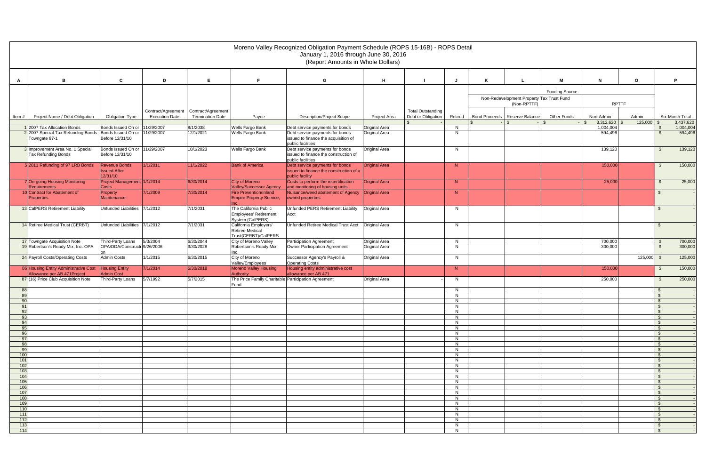|            | Moreno Valley Recognized Obligation Payment Schedule (ROPS 15-16B) - ROPS Detail<br>January 1, 2016 through June 30, 2016<br>(Report Amounts in Whole Dollars) |                                            |                       |                         |                                                                  |                                                                         |                      |                          |          |   |                                           |                       |                                 |              |                      |                        |
|------------|----------------------------------------------------------------------------------------------------------------------------------------------------------------|--------------------------------------------|-----------------------|-------------------------|------------------------------------------------------------------|-------------------------------------------------------------------------|----------------------|--------------------------|----------|---|-------------------------------------------|-----------------------|---------------------------------|--------------|----------------------|------------------------|
|            |                                                                                                                                                                |                                            |                       |                         |                                                                  |                                                                         |                      |                          |          |   |                                           |                       |                                 |              |                      |                        |
| A          | в                                                                                                                                                              | C                                          | D                     | E                       | F.                                                               | G                                                                       | н                    |                          | J        | K |                                           | м                     | $\mathbf N$                     | $\circ$      |                      | P                      |
|            |                                                                                                                                                                |                                            |                       |                         |                                                                  |                                                                         |                      |                          |          |   |                                           | <b>Funding Source</b> |                                 |              |                      |                        |
|            |                                                                                                                                                                |                                            |                       |                         |                                                                  |                                                                         |                      |                          |          |   | Non-Redevelopment Property Tax Trust Fund |                       |                                 |              |                      |                        |
|            |                                                                                                                                                                |                                            | Contract/Agreement    | Contract/Agreement      |                                                                  |                                                                         |                      | <b>Total Outstanding</b> |          |   | (Non-RPTTF)                               |                       | <b>RPTTF</b>                    |              |                      |                        |
| ltem #     | Project Name / Debt Obligation                                                                                                                                 | <b>Obligation Type</b>                     | <b>Execution Date</b> | <b>Termination Date</b> | Payee                                                            | <b>Description/Project Scope</b>                                        | Project Area         | Debt or Obligation       | Retired  |   | Bond Proceeds   Reserve Balance           | <b>Other Funds</b>    | Non-Admin                       | Admin        |                      | Six-Month Total        |
|            | 1 2007 Tax Allocation Bonds                                                                                                                                    | Bonds Issued On or                         | 11/29/2007            | 8/1/2038                | Wells Fargo Bank                                                 | Debt service payments for bonds                                         | <b>Original Area</b> |                          | ୍ଥ<br>N  |   | - \$                                      | ∣\$                   | 3,312,620<br>$-1S$<br>1,004,004 | $125,000$ \$ | - \$                 | 3,437,620<br>1,004,004 |
|            | 2 2007 Special Tax Refunding Bonds - Bonds Issued On or                                                                                                        |                                            | 11/29/2007            | 12/1/2021               | Wells Fargo Bank                                                 | Debt service payments for bonds                                         | Original Area        |                          | N.       |   |                                           |                       | 594,496                         |              | \$                   | 594,496                |
|            | Towngate 87-1                                                                                                                                                  | Before 12/31/10                            |                       |                         |                                                                  | issued to finance the acquisition of<br>public facilities               |                      |                          |          |   |                                           |                       |                                 |              |                      |                        |
|            | 3 Improvement Area No. 1 Special                                                                                                                               | Bonds Issued On or                         | 11/29/2007            | 10/1/2023               | Wells Fargo Bank                                                 | Debt service payments for bonds                                         | Original Area        |                          | N        |   |                                           |                       | 139,120                         |              | - \$                 | 139,120                |
|            | <b>Tax Refunding Bonds</b>                                                                                                                                     | Before 12/31/10                            |                       |                         |                                                                  | issued to finance the construction of<br>public facilities              |                      |                          |          |   |                                           |                       |                                 |              |                      |                        |
|            | 5 2011 Refunding of 97 LRB Bonds                                                                                                                               | <b>Revenue Bonds</b>                       | 1/1/2011              | 11/1/2022               | <b>Bank of America</b>                                           | Debt service payments for bonds                                         | <b>Original Area</b> |                          | N        |   |                                           |                       | 150,000                         |              | \$                   | 150,000                |
|            |                                                                                                                                                                | <b>Issued After</b><br>12/31/10            |                       |                         |                                                                  | issued to finance the construction of a<br>public facility              |                      |                          |          |   |                                           |                       |                                 |              |                      |                        |
|            | 7 On-going Housing Monitoring<br>Requirements                                                                                                                  | Project Management 1/1/2014<br>Costs       |                       | 6/30/2014               | City of Moreno<br><b>Valley/Successor Agency</b>                 | Costs to perform the recertification<br>and monitoring of housing units | <b>Original Area</b> |                          | N        |   |                                           |                       | 25,000                          |              | - \$                 | 25,000                 |
|            | 10 Contract for Abatement of<br><b>Properties</b>                                                                                                              | Property<br><b>Maintenance</b>             | 7/1/2009              | 7/30/2014               | <b>Fire Prevention/Inland</b><br><b>Empire Property Service,</b> | Nuisance/weed abatement of Agency<br>owned properties                   | <b>Original Area</b> |                          | N        |   |                                           |                       |                                 |              | - \$                 |                        |
|            |                                                                                                                                                                |                                            |                       |                         | The California Public                                            |                                                                         |                      |                          |          |   |                                           |                       |                                 |              |                      |                        |
|            | 13 CalPERS Retirement Liability                                                                                                                                | <b>Unfunded Liabilities</b>                | 7/1/2012              | 7/1/2031                | Employees' Retirement<br>System (CalPERS)                        | Unfunded PERS Retirement Liability<br>Acct                              | Original Area        |                          | N.       |   |                                           |                       |                                 |              | $\mathfrak{F}$       |                        |
|            | 14 Retiree Medical Trust (CERBT)                                                                                                                               | <b>Unfunded Liabilities</b>                | 7/1/2012              | 7/1/2031                | California Employers'<br>Retiree Medical                         | Unfunded Retiree Medical Trust Acct                                     | Original Area        |                          | N        |   |                                           |                       |                                 |              | - \$                 |                        |
|            | 17 Towngate Acquisition Note                                                                                                                                   | Third-Party Loans                          | 5/3/2004              | 6/30/2044               | Trust(CERBT)/CalPERS<br>City of Moreno Valley                    | <b>Participation Agreement</b>                                          | <b>Original Area</b> |                          | N        |   |                                           |                       | 700,000                         |              | $\mathfrak s$        | 700,000                |
|            | 19 Robertson's Ready Mix, Inc. OPA                                                                                                                             | OPA/DDA/Constructi 9/26/2006               |                       | 9/30/2028               | Robertson's Ready Mix,<br>Inc.                                   | Owner Participation Agreement                                           | Original Area        |                          | N.       |   |                                           |                       | 300,000                         |              | $\sqrt{3}$           | 300,000                |
|            | 24 Payroll Costs/Operating Costs                                                                                                                               | <b>Admin Costs</b>                         | 1/1/2015              | 6/30/2015               | City of Moreno<br>Valley/Employees                               | Successor Agency's Payroll &<br><b>Operating Costs</b>                  | Original Area        |                          | N.       |   |                                           |                       |                                 | $125,000$ \$ |                      | 125,000                |
|            | 86 Housing Entity Administrative Cost<br>Allowance per AB 471 Project                                                                                          | <b>Housing Entity</b><br><b>Admin Cost</b> | 7/1/2014              | 6/30/2018               | <b>Moreno Valley Housing</b><br><b>Authority</b>                 | Housing entity administrative cost<br>allowance per AB 471              |                      |                          | N        |   |                                           |                       | 150,000                         |              | - \$                 | 150,000                |
|            | 87 (16) Price Club Acquisition Note                                                                                                                            | Third-Party Loans                          | 5/7/1992              | 5/7/2015                | The Price Family Charitable Participation Agreement<br>Fund      |                                                                         | <b>Original Area</b> |                          | N.       |   |                                           |                       | 250,000                         |              | - \$                 | 250,000                |
| 88<br>89   |                                                                                                                                                                |                                            |                       |                         |                                                                  |                                                                         |                      |                          | N<br>N.  |   |                                           |                       |                                 |              | - \$<br>- \$         |                        |
| 90         |                                                                                                                                                                |                                            |                       |                         |                                                                  |                                                                         |                      |                          | N.       |   |                                           |                       |                                 |              |                      |                        |
| 91<br>92   |                                                                                                                                                                |                                            |                       |                         |                                                                  |                                                                         |                      |                          | N<br>N   |   |                                           |                       |                                 |              | \$<br><b>S</b>       |                        |
| 93         |                                                                                                                                                                |                                            |                       |                         |                                                                  |                                                                         |                      |                          | N        |   |                                           |                       |                                 |              | \$                   |                        |
| 94<br>95   |                                                                                                                                                                |                                            |                       |                         |                                                                  |                                                                         |                      |                          | N<br>N   |   |                                           |                       |                                 |              | \$<br>\$             |                        |
| 96         |                                                                                                                                                                |                                            |                       |                         |                                                                  |                                                                         |                      |                          | N.       |   |                                           |                       |                                 |              | \$                   |                        |
| 97<br>98   |                                                                                                                                                                |                                            |                       |                         |                                                                  |                                                                         |                      |                          | N<br>N.  |   |                                           |                       |                                 |              | \$<br><b>S</b>       |                        |
| 99         |                                                                                                                                                                |                                            |                       |                         |                                                                  |                                                                         |                      |                          | N.       |   |                                           |                       |                                 |              | - \$                 |                        |
| 100<br>101 |                                                                                                                                                                |                                            |                       |                         |                                                                  |                                                                         |                      |                          | N<br>N   |   |                                           |                       |                                 |              | \$<br>- \$           |                        |
| 102        |                                                                                                                                                                |                                            |                       |                         |                                                                  |                                                                         |                      |                          | N        |   |                                           |                       |                                 |              | \$                   |                        |
| 103<br>104 |                                                                                                                                                                |                                            |                       |                         |                                                                  |                                                                         |                      |                          | N<br>N   |   |                                           |                       |                                 |              | $\mathfrak{F}$<br>\$ |                        |
| 105        |                                                                                                                                                                |                                            |                       |                         |                                                                  |                                                                         |                      |                          | N.       |   |                                           |                       |                                 |              | <b>S</b>             |                        |
| 106<br>107 |                                                                                                                                                                |                                            |                       |                         |                                                                  |                                                                         |                      |                          | N<br>N.  |   |                                           |                       |                                 |              | \$<br>\$             |                        |
| 108        |                                                                                                                                                                |                                            |                       |                         |                                                                  |                                                                         |                      |                          | N        |   |                                           |                       |                                 |              | \$                   |                        |
| 109<br>110 |                                                                                                                                                                |                                            |                       |                         |                                                                  |                                                                         |                      |                          | N<br>N   |   |                                           |                       |                                 |              | - S<br>\$            |                        |
| 111        |                                                                                                                                                                |                                            |                       |                         |                                                                  |                                                                         |                      |                          | N        |   |                                           |                       |                                 |              | \$                   |                        |
| 112<br>113 |                                                                                                                                                                |                                            |                       |                         |                                                                  |                                                                         |                      |                          | N.<br>N. |   |                                           |                       |                                 |              | $\sqrt{3}$<br>\$     |                        |
| 114        |                                                                                                                                                                |                                            |                       |                         |                                                                  |                                                                         |                      |                          | N        |   |                                           |                       |                                 |              | \$                   |                        |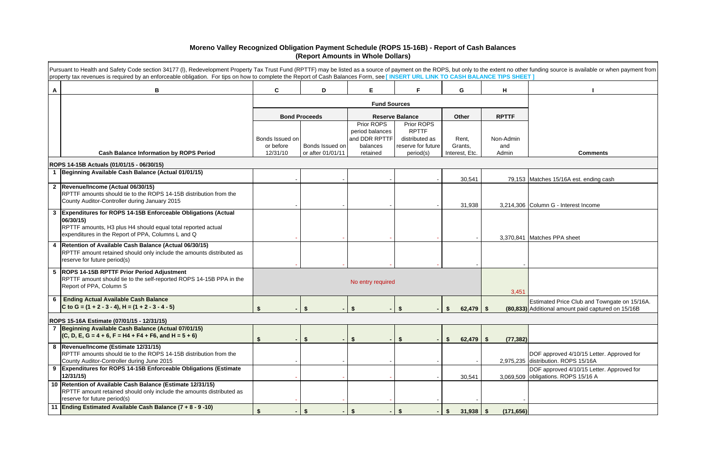|   | Pursuant to Health and Safety Code section 34177 (I), Redevelopment Property Tax Trust Fund (RPTTF) may be listed as a source of payment on the ROPS, but only to the extent no other funding source is available or when paym |                       |                                      |                               |                                 |                           |              |                                                                                                    |
|---|--------------------------------------------------------------------------------------------------------------------------------------------------------------------------------------------------------------------------------|-----------------------|--------------------------------------|-------------------------------|---------------------------------|---------------------------|--------------|----------------------------------------------------------------------------------------------------|
|   | property tax revenues is required by an enforceable obligation. For tips on how to complete the Report of Cash Balances Form, see [INSERT URL LINK TO CASH BALANCE TIPS SHEET]                                                 |                       |                                      |                               |                                 |                           |              |                                                                                                    |
| A | B                                                                                                                                                                                                                              | C                     | D                                    | E                             | F.                              | G                         | H            |                                                                                                    |
|   |                                                                                                                                                                                                                                |                       |                                      |                               |                                 |                           |              |                                                                                                    |
|   |                                                                                                                                                                                                                                |                       | <b>Bond Proceeds</b>                 |                               | <b>Reserve Balance</b>          | Other                     | <b>RPTTF</b> |                                                                                                    |
|   |                                                                                                                                                                                                                                |                       |                                      | Prior ROPS<br>period balances | Prior ROPS<br><b>RPTTF</b>      |                           |              |                                                                                                    |
|   |                                                                                                                                                                                                                                | Bonds Issued on       |                                      | and DDR RPTTF                 | distributed as                  | Rent,                     | Non-Admin    |                                                                                                    |
|   | <b>Cash Balance Information by ROPS Period</b>                                                                                                                                                                                 | or before<br>12/31/10 | Bonds Issued on<br>or after 01/01/11 | balances<br>retained          | reserve for future<br>period(s) | Grants,<br>Interest, Etc. | and<br>Admin | <b>Comments</b>                                                                                    |
|   |                                                                                                                                                                                                                                |                       |                                      |                               |                                 |                           |              |                                                                                                    |
|   | ROPS 14-15B Actuals (01/01/15 - 06/30/15)<br>1 Beginning Available Cash Balance (Actual 01/01/15)                                                                                                                              |                       |                                      |                               |                                 |                           |              |                                                                                                    |
|   |                                                                                                                                                                                                                                |                       |                                      |                               |                                 | 30,541                    |              | 79,153 Matches 15/16A est. ending cash                                                             |
|   | 2  Revenue/Income (Actual 06/30/15)<br>RPTTF amounts should tie to the ROPS 14-15B distribution from the<br>County Auditor-Controller during January 2015                                                                      |                       |                                      |                               |                                 |                           |              |                                                                                                    |
|   | Expenditures for ROPS 14-15B Enforceable Obligations (Actual                                                                                                                                                                   |                       |                                      |                               |                                 | 31,938                    |              | 3.214.306 Column G - Interest Income                                                               |
|   | 06/30/15)<br>RPTTF amounts, H3 plus H4 should equal total reported actual<br>expenditures in the Report of PPA, Columns L and Q                                                                                                |                       |                                      |                               |                                 |                           |              |                                                                                                    |
|   |                                                                                                                                                                                                                                |                       |                                      |                               |                                 |                           |              | 3,370,841 Matches PPA sheet                                                                        |
|   | 4   Retention of Available Cash Balance (Actual 06/30/15)<br>RPTTF amount retained should only include the amounts distributed as<br>reserve for future period(s)                                                              |                       |                                      |                               |                                 |                           |              |                                                                                                    |
|   | 5  ROPS 14-15B RPTTF Prior Period Adjustment<br>RPTTF amount should tie to the self-reported ROPS 14-15B PPA in the<br>Report of PPA, Column S                                                                                 |                       |                                      | No entry required             |                                 |                           | 3,451        |                                                                                                    |
| 6 | <b>Ending Actual Available Cash Balance</b><br>C to G = $(1 + 2 - 3 - 4)$ , H = $(1 + 2 - 3 - 4 - 5)$                                                                                                                          |                       |                                      |                               |                                 | $62,479$ \$               |              | Estimated Price Club and Towngate on 15/16A.<br>(80,833) Additional amount paid captured on 15/16B |
|   | ROPS 15-16A Estimate (07/01/15 - 12/31/15)                                                                                                                                                                                     |                       |                                      |                               |                                 |                           |              |                                                                                                    |
|   | 7 Beginning Available Cash Balance (Actual 07/01/15)<br>$(C, D, E, G = 4 + 6, F = H4 + F4 + F6, and H = 5 + 6)$                                                                                                                | S.                    | $\boldsymbol{\hat{\ast}}$            | <b>S</b>                      |                                 | $62,479$ \$<br>S.         | (77, 382)    |                                                                                                    |
|   | 8  Revenue/Income (Estimate 12/31/15)<br>RPTTF amounts should tie to the ROPS 14-15B distribution from the<br>County Auditor-Controller during June 2015                                                                       |                       |                                      |                               |                                 |                           |              | DOF approved 4/10/15 Letter. Approved for<br>2,975,235 distribution. ROPS 15/16A                   |
|   | <b>Expenditures for ROPS 14-15B Enforceable Obligations (Estimate</b><br>12/31/15                                                                                                                                              |                       |                                      |                               |                                 | 30,541                    |              | DOF approved 4/10/15 Letter. Approved for<br>3,069,509 obligations. ROPS 15/16 A                   |
|   | 10 Retention of Available Cash Balance (Estimate 12/31/15)<br>RPTTF amount retained should only include the amounts distributed as<br>reserve for future period(s)                                                             |                       |                                      |                               |                                 |                           |              |                                                                                                    |
|   | 11 Ending Estimated Available Cash Balance (7 + 8 - 9 -10)                                                                                                                                                                     | $\mathbf{s}$          | $\mathbf{s}$                         | $\mathbf{\hat{s}}$            |                                 | \$<br>$31,938$ \$         | (171, 656)   |                                                                                                    |

## **Moreno Valley Recognized Obligation Payment Schedule (ROPS 15-16B) - Report of Cash Balances (Report Amounts in Whole Dollars)**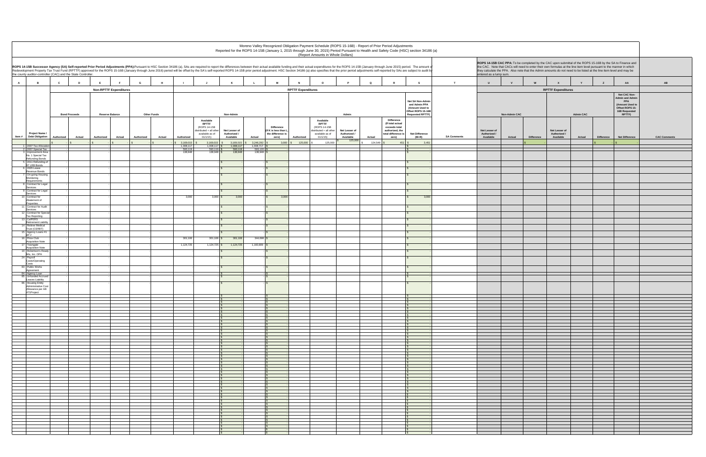|                                                                                                                                                                                                                                                                                                                                                                                                                                                                                                                                   |                                |                               |            |                    |                        |                                                                                         |                               |                        |                                                                |                           | Moreno Valley Recognized Obligation Payment Schedule (ROPS 15-16B) - Report of Prior Period Adjustments<br>(Report Amounts in Whole Dollars) |                               |             |                                                                                                  | Reported for the ROPS 14-15B (January 1, 2015 through June 30, 2015) Period Pursuant to Health and Safety Code (HSC) section 34186 (a) |                    |                               |                      |                                                                                                                                                                                                                                             |                               |                  |                   |                                                                                                                |                |
|-----------------------------------------------------------------------------------------------------------------------------------------------------------------------------------------------------------------------------------------------------------------------------------------------------------------------------------------------------------------------------------------------------------------------------------------------------------------------------------------------------------------------------------|--------------------------------|-------------------------------|------------|--------------------|------------------------|-----------------------------------------------------------------------------------------|-------------------------------|------------------------|----------------------------------------------------------------|---------------------------|----------------------------------------------------------------------------------------------------------------------------------------------|-------------------------------|-------------|--------------------------------------------------------------------------------------------------|----------------------------------------------------------------------------------------------------------------------------------------|--------------------|-------------------------------|----------------------|---------------------------------------------------------------------------------------------------------------------------------------------------------------------------------------------------------------------------------------------|-------------------------------|------------------|-------------------|----------------------------------------------------------------------------------------------------------------|----------------|
| ROPS 14-15B Successor Agency (SA) Self-reported Prior Period Adjustments (PPA):Pursuant to HSC Section 34186 (a), SAs are required to report the differences between their actual available funding and their actual expenditu<br>Redevelopment Property Tax Trust Fund (RPTTF) approved for the ROPS 15-16B (January through June 2016) period will be offset by the SA's self-reported ROPS 14-15B prior period adjustment. HSC Section 34186 (a) also specifi<br>the county auditor-controller (CAC) and the State Controller. |                                |                               |            |                    |                        |                                                                                         |                               |                        |                                                                |                           |                                                                                                                                              |                               |             |                                                                                                  |                                                                                                                                        |                    | entered as a lump sum.        |                      | the CAC. Note that CACs will need to enter their own formulas at the line item level pursuant to the manner in which<br>they calculate the PPA. Also note that the Admin amounts do not need to be listed at the line item level and may be |                               |                  |                   | ROPS 14-15B CAC PPA: To be completed by the CAC upon submittal of the ROPS 15-16B by the SA to Finance and     |                |
| $\mathbf{A}$<br>B                                                                                                                                                                                                                                                                                                                                                                                                                                                                                                                 | $\mathbf{c}$<br>$\overline{D}$ | E                             | G          | H                  |                        |                                                                                         | K                             |                        | M                                                              | <b>N</b>                  | $\circ$                                                                                                                                      | <b>P</b>                      | $\mathbf Q$ |                                                                                                  | $\mathbf{s}$                                                                                                                           | T                  | $\cup$                        | <b>V</b>             | W                                                                                                                                                                                                                                           | $\mathbf{x}$                  | Y                | $\mathbf{z}$      | AA                                                                                                             | AB             |
|                                                                                                                                                                                                                                                                                                                                                                                                                                                                                                                                   |                                | <b>Non-RPTTF Expenditures</b> |            |                    |                        |                                                                                         |                               |                        |                                                                | <b>RPTTF Expenditures</b> |                                                                                                                                              |                               |             |                                                                                                  |                                                                                                                                        |                    |                               |                      |                                                                                                                                                                                                                                             | <b>RPTTF Expenditures</b>     |                  |                   |                                                                                                                |                |
|                                                                                                                                                                                                                                                                                                                                                                                                                                                                                                                                   | <b>Bond Proceeds</b>           | <b>Reserve Balance</b>        |            | <b>Other Funds</b> |                        |                                                                                         | Non-Admin                     |                        |                                                                |                           |                                                                                                                                              | Admin                         |             |                                                                                                  | Net SA Non-Admin<br>and Admin PPA<br>(Amount Used to<br>Offset ROPS 15-16B<br><b>Requested RPTTF)</b>                                  |                    |                               | <b>Non-Admin CAC</b> |                                                                                                                                                                                                                                             |                               | <b>Admin CAC</b> |                   | Net CAC Non-<br><b>Admin and Admin</b><br>PPA<br>(Amount Used to<br>Offset ROPS 15-<br>16B Requested<br>RPTTF) |                |
| <b>Project Name</b>                                                                                                                                                                                                                                                                                                                                                                                                                                                                                                               |                                |                               |            |                    |                        | Available<br><b>RPTTF</b><br>(ROPS 14-15B<br>distributed + all other<br>available as of | Net Lesser of<br>Authorized / |                        | <b>Difference</b><br>(If K is less than L<br>the difference is |                           | Available<br><b>RPTTF</b><br>(ROPS 14-15B<br>distributed + all other<br>available as of                                                      | Net Lesser of<br>Authorized / |             | <b>Difference</b><br>(If total actual<br>exceeds total<br>authorized, the<br>total difference is | <b>Net Difference</b>                                                                                                                  |                    | Net Lesser of<br>Authorized / |                      |                                                                                                                                                                                                                                             | Net Lesser of<br>Authorized / |                  |                   |                                                                                                                |                |
| Item #<br><b>Debt Obligation</b>                                                                                                                                                                                                                                                                                                                                                                                                                                                                                                  | <b>Actual</b><br>Authorized    | Actual<br>Authorized          | Authorized | Actual             | Authorized             | 01/1/15)                                                                                | Available                     | Actual                 | zero)                                                          | Authorized                | 01/1/15)                                                                                                                                     | Available<br>125,000          | Actual      | zero)                                                                                            | (M+R)                                                                                                                                  | <b>SA Comments</b> | Available                     | Actual               | <b>Difference</b>                                                                                                                                                                                                                           | Available                     | Actual           | <b>Difference</b> | <b>Net Difference</b>                                                                                          | <b>CAC Com</b> |
| 1 2007 Tax Allocatio                                                                                                                                                                                                                                                                                                                                                                                                                                                                                                              |                                |                               |            |                    | 3,169,015<br>1,008,117 | $3,169,015$ \$<br>$1,008,117$ \$                                                        | 3,169,015<br>1.008.117        | 3,246,292<br>1.008,717 | 3,000                                                          | 125,000                   | 125,000                                                                                                                                      |                               | 124,549     | 451                                                                                              | 3.451                                                                                                                                  |                    |                               |                      |                                                                                                                                                                                                                                             |                               |                  |                   |                                                                                                                |                |
| 2 2007 Special Tax<br>Improvement Are<br>No. 1 Special Tax                                                                                                                                                                                                                                                                                                                                                                                                                                                                        |                                |                               |            |                    | 593,119<br>138,948     | $\frac{593,119}{138,948}$                                                               | 593,119<br>138,948            | 593,120                |                                                                |                           |                                                                                                                                              |                               |             |                                                                                                  |                                                                                                                                        |                    |                               |                      |                                                                                                                                                                                                                                             |                               |                  |                   |                                                                                                                |                |
| <b>Refunding Bonds</b><br>5 2011 Refunding of                                                                                                                                                                                                                                                                                                                                                                                                                                                                                     |                                |                               |            |                    |                        |                                                                                         |                               |                        |                                                                |                           |                                                                                                                                              |                               |             |                                                                                                  |                                                                                                                                        |                    |                               |                      |                                                                                                                                                                                                                                             |                               |                  |                   |                                                                                                                |                |
| 97 LRB Bonds<br>6 2005 Lease                                                                                                                                                                                                                                                                                                                                                                                                                                                                                                      |                                |                               |            |                    |                        |                                                                                         |                               |                        |                                                                |                           |                                                                                                                                              |                               |             |                                                                                                  |                                                                                                                                        |                    |                               |                      |                                                                                                                                                                                                                                             |                               |                  |                   |                                                                                                                |                |
| Revenue Bonds<br>On-going Housing<br>Monitoring                                                                                                                                                                                                                                                                                                                                                                                                                                                                                   |                                |                               |            |                    |                        |                                                                                         |                               |                        |                                                                |                           |                                                                                                                                              |                               |             |                                                                                                  |                                                                                                                                        |                    |                               |                      |                                                                                                                                                                                                                                             |                               |                  |                   |                                                                                                                |                |
| Requirements<br>B Contract for Legal                                                                                                                                                                                                                                                                                                                                                                                                                                                                                              |                                |                               |            |                    |                        |                                                                                         |                               |                        |                                                                |                           |                                                                                                                                              |                               |             |                                                                                                  |                                                                                                                                        |                    |                               |                      |                                                                                                                                                                                                                                             |                               |                  |                   |                                                                                                                |                |
| Services<br>Contract for Legal                                                                                                                                                                                                                                                                                                                                                                                                                                                                                                    |                                |                               |            |                    |                        |                                                                                         |                               |                        |                                                                |                           |                                                                                                                                              |                               |             |                                                                                                  |                                                                                                                                        |                    |                               |                      |                                                                                                                                                                                                                                             |                               |                  |                   |                                                                                                                |                |
| Services<br>10 Contract for<br>Abatement of                                                                                                                                                                                                                                                                                                                                                                                                                                                                                       |                                |                               |            |                    | 3,000                  | $3,000$ \$                                                                              | 3,000                         |                        | 3,000                                                          |                           |                                                                                                                                              |                               |             |                                                                                                  | 3,000                                                                                                                                  |                    |                               |                      |                                                                                                                                                                                                                                             |                               |                  |                   |                                                                                                                |                |
| Properties<br>11 Contract for Audit                                                                                                                                                                                                                                                                                                                                                                                                                                                                                               |                                |                               |            |                    |                        |                                                                                         | l S                           |                        |                                                                |                           |                                                                                                                                              |                               |             |                                                                                                  |                                                                                                                                        |                    |                               |                      |                                                                                                                                                                                                                                             |                               |                  |                   |                                                                                                                |                |
| Services<br>12 Contract for Speci<br>Tax Reporting                                                                                                                                                                                                                                                                                                                                                                                                                                                                                |                                |                               |            |                    |                        |                                                                                         |                               |                        |                                                                |                           |                                                                                                                                              |                               |             |                                                                                                  |                                                                                                                                        |                    |                               |                      |                                                                                                                                                                                                                                             |                               |                  |                   |                                                                                                                |                |
| 13 CalPERS<br><b>Retirement Liability</b>                                                                                                                                                                                                                                                                                                                                                                                                                                                                                         |                                |                               |            |                    |                        |                                                                                         |                               |                        |                                                                |                           |                                                                                                                                              |                               |             |                                                                                                  |                                                                                                                                        |                    |                               |                      |                                                                                                                                                                                                                                             |                               |                  |                   |                                                                                                                |                |
| 14 Retiree Medical<br>Trust (CERBT)                                                                                                                                                                                                                                                                                                                                                                                                                                                                                               |                                |                               |            |                    |                        |                                                                                         |                               |                        |                                                                |                           |                                                                                                                                              |                               |             |                                                                                                  |                                                                                                                                        |                    |                               |                      |                                                                                                                                                                                                                                             |                               |                  |                   |                                                                                                                |                |
| 5 Agency Loans #1<br>Price Club                                                                                                                                                                                                                                                                                                                                                                                                                                                                                                   |                                |                               |            |                    | 301,106                | $301,106$ \$                                                                            | 301,106                       | 344,698                |                                                                |                           |                                                                                                                                              |                               |             |                                                                                                  |                                                                                                                                        |                    |                               |                      |                                                                                                                                                                                                                                             |                               |                  |                   |                                                                                                                |                |
| <b>Acquisition Note</b><br>Towngate                                                                                                                                                                                                                                                                                                                                                                                                                                                                                               |                                |                               |            |                    | 1,124,725              | $1,124,725$ \$                                                                          | 1,124,725                     | 1,160,809              |                                                                |                           |                                                                                                                                              |                               |             |                                                                                                  |                                                                                                                                        |                    |                               |                      |                                                                                                                                                                                                                                             |                               |                  |                   |                                                                                                                |                |
| Acquisition Note<br>9 Robertson's Read                                                                                                                                                                                                                                                                                                                                                                                                                                                                                            |                                |                               |            |                    |                        |                                                                                         |                               |                        |                                                                |                           |                                                                                                                                              |                               |             |                                                                                                  |                                                                                                                                        |                    |                               |                      |                                                                                                                                                                                                                                             |                               |                  |                   |                                                                                                                |                |
| Mix, Inc. OPA<br>24 Payroll<br>Costs/Operating                                                                                                                                                                                                                                                                                                                                                                                                                                                                                    |                                |                               |            |                    |                        |                                                                                         |                               |                        |                                                                |                           |                                                                                                                                              |                               |             |                                                                                                  |                                                                                                                                        |                    |                               |                      |                                                                                                                                                                                                                                             |                               |                  |                   |                                                                                                                |                |
| 83 Public Works                                                                                                                                                                                                                                                                                                                                                                                                                                                                                                                   |                                |                               |            |                    |                        |                                                                                         |                               |                        |                                                                |                           |                                                                                                                                              |                               |             |                                                                                                  |                                                                                                                                        |                    |                               |                      |                                                                                                                                                                                                                                             |                               |                  |                   |                                                                                                                |                |
| Agreement<br>84 Agency Loan                                                                                                                                                                                                                                                                                                                                                                                                                                                                                                       |                                |                               |            |                    |                        |                                                                                         |                               |                        |                                                                |                           |                                                                                                                                              |                               |             |                                                                                                  |                                                                                                                                        |                    |                               |                      |                                                                                                                                                                                                                                             |                               |                  |                   |                                                                                                                |                |
| 85 Unfunded Accrued<br>Leaves Liability<br>86 Housing Entity                                                                                                                                                                                                                                                                                                                                                                                                                                                                      |                                |                               |            |                    |                        |                                                                                         |                               |                        |                                                                |                           |                                                                                                                                              |                               |             |                                                                                                  |                                                                                                                                        |                    |                               |                      |                                                                                                                                                                                                                                             |                               |                  |                   |                                                                                                                |                |
| Administrative Cost<br>Allowance per AB                                                                                                                                                                                                                                                                                                                                                                                                                                                                                           |                                |                               |            |                    |                        |                                                                                         |                               |                        |                                                                |                           |                                                                                                                                              |                               |             |                                                                                                  |                                                                                                                                        |                    |                               |                      |                                                                                                                                                                                                                                             |                               |                  |                   |                                                                                                                |                |
| 471Project                                                                                                                                                                                                                                                                                                                                                                                                                                                                                                                        |                                |                               |            |                    |                        |                                                                                         |                               |                        |                                                                |                           |                                                                                                                                              |                               |             |                                                                                                  |                                                                                                                                        |                    |                               |                      |                                                                                                                                                                                                                                             |                               |                  |                   |                                                                                                                |                |
|                                                                                                                                                                                                                                                                                                                                                                                                                                                                                                                                   |                                |                               |            |                    |                        |                                                                                         |                               |                        |                                                                |                           |                                                                                                                                              |                               |             |                                                                                                  |                                                                                                                                        |                    |                               |                      |                                                                                                                                                                                                                                             |                               |                  |                   |                                                                                                                |                |
|                                                                                                                                                                                                                                                                                                                                                                                                                                                                                                                                   |                                |                               |            |                    |                        |                                                                                         |                               |                        |                                                                |                           |                                                                                                                                              |                               |             |                                                                                                  |                                                                                                                                        |                    |                               |                      |                                                                                                                                                                                                                                             |                               |                  |                   |                                                                                                                |                |
|                                                                                                                                                                                                                                                                                                                                                                                                                                                                                                                                   |                                |                               |            |                    |                        |                                                                                         |                               |                        |                                                                |                           |                                                                                                                                              |                               |             |                                                                                                  |                                                                                                                                        |                    |                               |                      |                                                                                                                                                                                                                                             |                               |                  |                   |                                                                                                                |                |
|                                                                                                                                                                                                                                                                                                                                                                                                                                                                                                                                   |                                |                               |            |                    |                        |                                                                                         |                               |                        |                                                                |                           |                                                                                                                                              |                               |             |                                                                                                  |                                                                                                                                        |                    |                               |                      |                                                                                                                                                                                                                                             |                               |                  |                   |                                                                                                                |                |
|                                                                                                                                                                                                                                                                                                                                                                                                                                                                                                                                   |                                |                               |            |                    |                        |                                                                                         |                               |                        |                                                                |                           |                                                                                                                                              |                               |             |                                                                                                  |                                                                                                                                        |                    |                               |                      |                                                                                                                                                                                                                                             |                               |                  |                   |                                                                                                                |                |
|                                                                                                                                                                                                                                                                                                                                                                                                                                                                                                                                   |                                |                               |            |                    |                        |                                                                                         |                               |                        |                                                                |                           |                                                                                                                                              |                               |             |                                                                                                  |                                                                                                                                        |                    |                               |                      |                                                                                                                                                                                                                                             |                               |                  |                   |                                                                                                                |                |
|                                                                                                                                                                                                                                                                                                                                                                                                                                                                                                                                   |                                |                               |            |                    |                        |                                                                                         |                               |                        |                                                                |                           |                                                                                                                                              |                               |             |                                                                                                  |                                                                                                                                        |                    |                               |                      |                                                                                                                                                                                                                                             |                               |                  |                   |                                                                                                                |                |
|                                                                                                                                                                                                                                                                                                                                                                                                                                                                                                                                   |                                |                               |            |                    |                        |                                                                                         |                               |                        |                                                                |                           |                                                                                                                                              |                               |             |                                                                                                  |                                                                                                                                        |                    |                               |                      |                                                                                                                                                                                                                                             |                               |                  |                   |                                                                                                                |                |
|                                                                                                                                                                                                                                                                                                                                                                                                                                                                                                                                   |                                |                               |            |                    |                        |                                                                                         |                               |                        |                                                                |                           |                                                                                                                                              |                               |             |                                                                                                  |                                                                                                                                        |                    |                               |                      |                                                                                                                                                                                                                                             |                               |                  |                   |                                                                                                                |                |
|                                                                                                                                                                                                                                                                                                                                                                                                                                                                                                                                   |                                |                               |            |                    |                        |                                                                                         |                               |                        |                                                                |                           |                                                                                                                                              |                               |             |                                                                                                  |                                                                                                                                        |                    |                               |                      |                                                                                                                                                                                                                                             |                               |                  |                   |                                                                                                                |                |
|                                                                                                                                                                                                                                                                                                                                                                                                                                                                                                                                   |                                |                               |            |                    |                        |                                                                                         |                               |                        |                                                                |                           |                                                                                                                                              |                               |             |                                                                                                  |                                                                                                                                        |                    |                               |                      |                                                                                                                                                                                                                                             |                               |                  |                   |                                                                                                                |                |
|                                                                                                                                                                                                                                                                                                                                                                                                                                                                                                                                   |                                |                               |            |                    |                        |                                                                                         |                               |                        |                                                                |                           |                                                                                                                                              |                               |             |                                                                                                  |                                                                                                                                        |                    |                               |                      |                                                                                                                                                                                                                                             |                               |                  |                   |                                                                                                                |                |
|                                                                                                                                                                                                                                                                                                                                                                                                                                                                                                                                   |                                |                               |            |                    |                        |                                                                                         |                               |                        |                                                                |                           |                                                                                                                                              |                               |             |                                                                                                  |                                                                                                                                        |                    |                               |                      |                                                                                                                                                                                                                                             |                               |                  |                   |                                                                                                                |                |
|                                                                                                                                                                                                                                                                                                                                                                                                                                                                                                                                   |                                |                               |            |                    |                        |                                                                                         |                               |                        |                                                                |                           |                                                                                                                                              |                               |             |                                                                                                  |                                                                                                                                        |                    |                               |                      |                                                                                                                                                                                                                                             |                               |                  |                   |                                                                                                                |                |
|                                                                                                                                                                                                                                                                                                                                                                                                                                                                                                                                   |                                |                               |            |                    |                        |                                                                                         |                               |                        |                                                                |                           |                                                                                                                                              |                               |             |                                                                                                  |                                                                                                                                        |                    |                               |                      |                                                                                                                                                                                                                                             |                               |                  |                   |                                                                                                                |                |
|                                                                                                                                                                                                                                                                                                                                                                                                                                                                                                                                   |                                |                               |            |                    |                        |                                                                                         |                               |                        |                                                                |                           |                                                                                                                                              |                               |             |                                                                                                  |                                                                                                                                        |                    |                               |                      |                                                                                                                                                                                                                                             |                               |                  |                   |                                                                                                                |                |
|                                                                                                                                                                                                                                                                                                                                                                                                                                                                                                                                   |                                |                               |            |                    |                        |                                                                                         |                               |                        |                                                                |                           |                                                                                                                                              |                               |             |                                                                                                  |                                                                                                                                        |                    |                               |                      |                                                                                                                                                                                                                                             |                               |                  |                   |                                                                                                                |                |
|                                                                                                                                                                                                                                                                                                                                                                                                                                                                                                                                   |                                |                               |            |                    |                        |                                                                                         |                               |                        |                                                                |                           |                                                                                                                                              |                               |             |                                                                                                  |                                                                                                                                        |                    |                               |                      |                                                                                                                                                                                                                                             |                               |                  |                   |                                                                                                                |                |

|                    | ROPS 14-15B CAC PPA: To be completed by the CAC upon submittal of the ROPS 15-16B by the SA to Finance and<br>the CAC. Note that CACs will need to enter their own formulas at the line item level pursuant to the manner in which<br>they calculate the PPA. Also note that the Admin amounts do not need to be listed at the line item level and may be<br>entered as a lump sum. |                      |                           |                                            |                  |                                   |                                                                                                                |                                     |
|--------------------|-------------------------------------------------------------------------------------------------------------------------------------------------------------------------------------------------------------------------------------------------------------------------------------------------------------------------------------------------------------------------------------|----------------------|---------------------------|--------------------------------------------|------------------|-----------------------------------|----------------------------------------------------------------------------------------------------------------|-------------------------------------|
| $\mathsf T$        | $\sf U$                                                                                                                                                                                                                                                                                                                                                                             | $\mathsf{v}$         | $\ensuremath{\mathsf{w}}$ | $\pmb{\mathsf{x}}$                         | Y                | $\mathsf z$                       | ${\sf AA}$                                                                                                     | $\boldsymbol{\mathsf{A}\mathsf{B}}$ |
|                    |                                                                                                                                                                                                                                                                                                                                                                                     | <b>Non-Admin CAC</b> |                           | <b>RPTTF Expenditures</b>                  | <b>Admin CAC</b> |                                   | Net CAC Non-<br><b>Admin and Admin</b><br>PPA<br>(Amount Used to<br>Offset ROPS 15-<br>16B Requested<br>RPTTF) |                                     |
| <b>SA Comments</b> | Net Lesser of<br>Authorized /<br>Available                                                                                                                                                                                                                                                                                                                                          | Actual               | <b>Difference</b><br>\$   | Net Lesser of<br>Authorized /<br>Available | Actual           | <b>Difference</b><br>$\mathsf{s}$ | <b>Net Difference</b><br>\$                                                                                    | <b>CAC Comments</b>                 |
|                    |                                                                                                                                                                                                                                                                                                                                                                                     |                      |                           |                                            |                  |                                   |                                                                                                                |                                     |
|                    |                                                                                                                                                                                                                                                                                                                                                                                     |                      |                           |                                            |                  |                                   |                                                                                                                |                                     |
|                    |                                                                                                                                                                                                                                                                                                                                                                                     |                      |                           |                                            |                  |                                   |                                                                                                                |                                     |
|                    |                                                                                                                                                                                                                                                                                                                                                                                     |                      |                           |                                            |                  |                                   |                                                                                                                |                                     |
|                    |                                                                                                                                                                                                                                                                                                                                                                                     |                      |                           |                                            |                  |                                   |                                                                                                                |                                     |
|                    |                                                                                                                                                                                                                                                                                                                                                                                     |                      |                           |                                            |                  |                                   |                                                                                                                |                                     |
|                    |                                                                                                                                                                                                                                                                                                                                                                                     |                      |                           |                                            |                  |                                   |                                                                                                                |                                     |
|                    |                                                                                                                                                                                                                                                                                                                                                                                     |                      |                           |                                            |                  |                                   |                                                                                                                |                                     |
|                    |                                                                                                                                                                                                                                                                                                                                                                                     |                      |                           |                                            |                  |                                   |                                                                                                                |                                     |
|                    |                                                                                                                                                                                                                                                                                                                                                                                     |                      |                           |                                            |                  |                                   |                                                                                                                |                                     |
|                    |                                                                                                                                                                                                                                                                                                                                                                                     |                      |                           |                                            |                  |                                   |                                                                                                                |                                     |
|                    |                                                                                                                                                                                                                                                                                                                                                                                     |                      |                           |                                            |                  |                                   |                                                                                                                |                                     |
|                    |                                                                                                                                                                                                                                                                                                                                                                                     |                      |                           |                                            |                  |                                   |                                                                                                                |                                     |
|                    |                                                                                                                                                                                                                                                                                                                                                                                     |                      |                           |                                            |                  |                                   |                                                                                                                |                                     |
|                    |                                                                                                                                                                                                                                                                                                                                                                                     |                      |                           |                                            |                  |                                   |                                                                                                                |                                     |
|                    |                                                                                                                                                                                                                                                                                                                                                                                     |                      |                           |                                            |                  |                                   |                                                                                                                |                                     |
|                    |                                                                                                                                                                                                                                                                                                                                                                                     |                      |                           |                                            |                  |                                   |                                                                                                                |                                     |
|                    |                                                                                                                                                                                                                                                                                                                                                                                     |                      |                           |                                            |                  |                                   |                                                                                                                |                                     |
|                    |                                                                                                                                                                                                                                                                                                                                                                                     |                      |                           |                                            |                  |                                   |                                                                                                                |                                     |
|                    |                                                                                                                                                                                                                                                                                                                                                                                     |                      |                           |                                            |                  |                                   |                                                                                                                |                                     |
|                    |                                                                                                                                                                                                                                                                                                                                                                                     |                      |                           |                                            |                  |                                   |                                                                                                                |                                     |
|                    |                                                                                                                                                                                                                                                                                                                                                                                     |                      |                           |                                            |                  |                                   |                                                                                                                |                                     |
|                    |                                                                                                                                                                                                                                                                                                                                                                                     |                      |                           |                                            |                  |                                   |                                                                                                                |                                     |
|                    |                                                                                                                                                                                                                                                                                                                                                                                     |                      |                           |                                            |                  |                                   |                                                                                                                |                                     |